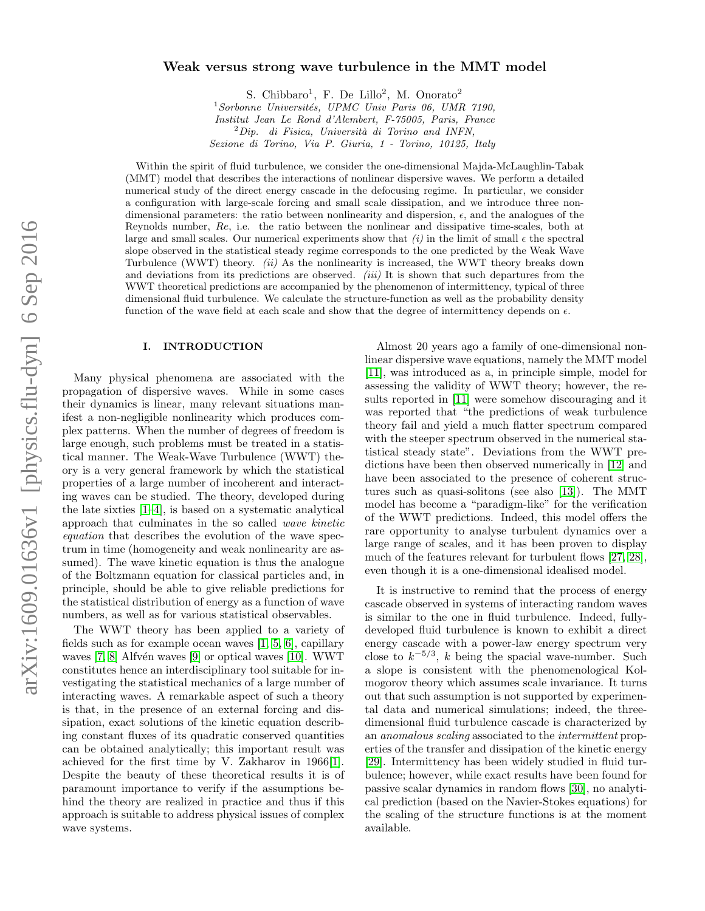# arXiv:1609.01636v1 [physics.flu-dyn] 6 Sep 2016 arXiv:1609.01636v1 [physics.flu-dyn] 6 Sep 2016

# Weak versus strong wave turbulence in the MMT model

S. Chibbaro<sup>1</sup>, F. De Lillo<sup>2</sup>, M. Onorato<sup>2</sup>

 $1$ Sorbonne Universités, UPMC Univ Paris 06, UMR 7190, Institut Jean Le Rond d'Alembert, F-75005, Paris, France  $^{2}Dip.$  di Fisica, Università di Torino and INFN, Sezione di Torino, Via P. Giuria, 1 - Torino, 10125, Italy

Within the spirit of fluid turbulence, we consider the one-dimensional Majda-McLaughlin-Tabak (MMT) model that describes the interactions of nonlinear dispersive waves. We perform a detailed numerical study of the direct energy cascade in the defocusing regime. In particular, we consider a configuration with large-scale forcing and small scale dissipation, and we introduce three nondimensional parameters: the ratio between nonlinearity and dispersion,  $\epsilon$ , and the analogues of the Reynolds number, Re, i.e. the ratio between the nonlinear and dissipative time-scales, both at large and small scales. Our numerical experiments show that  $(i)$  in the limit of small  $\epsilon$  the spectral slope observed in the statistical steady regime corresponds to the one predicted by the Weak Wave Turbulence (WWT) theory. (ii) As the nonlinearity is increased, the WWT theory breaks down and deviations from its predictions are observed.  $(iii)$  It is shown that such departures from the WWT theoretical predictions are accompanied by the phenomenon of intermittency, typical of three dimensional fluid turbulence. We calculate the structure-function as well as the probability density function of the wave field at each scale and show that the degree of intermittency depends on  $\epsilon$ .

## I. INTRODUCTION

Many physical phenomena are associated with the propagation of dispersive waves. While in some cases their dynamics is linear, many relevant situations manifest a non-negligible nonlinearity which produces complex patterns. When the number of degrees of freedom is large enough, such problems must be treated in a statistical manner. The Weak-Wave Turbulence (WWT) theory is a very general framework by which the statistical properties of a large number of incoherent and interacting waves can be studied. The theory, developed during the late sixties [\[1–](#page-5-0)[4\]](#page-5-1), is based on a systematic analytical approach that culminates in the so called wave kinetic equation that describes the evolution of the wave spectrum in time (homogeneity and weak nonlinearity are assumed). The wave kinetic equation is thus the analogue of the Boltzmann equation for classical particles and, in principle, should be able to give reliable predictions for the statistical distribution of energy as a function of wave numbers, as well as for various statistical observables.

The WWT theory has been applied to a variety of fields such as for example ocean waves [\[1,](#page-5-0) [5,](#page-5-2) [6\]](#page-5-3), capillary waves  $[7, 8]$  $[7, 8]$  Alfvén waves  $[9]$  or optical waves  $[10]$ . WWT constitutes hence an interdisciplinary tool suitable for investigating the statistical mechanics of a large number of interacting waves. A remarkable aspect of such a theory is that, in the presence of an external forcing and dissipation, exact solutions of the kinetic equation describing constant fluxes of its quadratic conserved quantities can be obtained analytically; this important result was achieved for the first time by V. Zakharov in 1966[\[1\]](#page-5-0). Despite the beauty of these theoretical results it is of paramount importance to verify if the assumptions behind the theory are realized in practice and thus if this approach is suitable to address physical issues of complex wave systems.

Almost 20 years ago a family of one-dimensional nonlinear dispersive wave equations, namely the MMT model [\[11\]](#page-6-4), was introduced as a, in principle simple, model for assessing the validity of WWT theory; however, the results reported in [\[11\]](#page-6-4) were somehow discouraging and it was reported that "the predictions of weak turbulence theory fail and yield a much flatter spectrum compared with the steeper spectrum observed in the numerical statistical steady state". Deviations from the WWT predictions have been then observed numerically in [\[12\]](#page-6-5) and have been associated to the presence of coherent structures such as quasi-solitons (see also [\[13\]](#page-6-6)). The MMT model has become a "paradigm-like" for the verification of the WWT predictions. Indeed, this model offers the rare opportunity to analyse turbulent dynamics over a large range of scales, and it has been proven to display much of the features relevant for turbulent flows [\[27,](#page-6-7) [28\]](#page-6-8), even though it is a one-dimensional idealised model.

It is instructive to remind that the process of energy cascade observed in systems of interacting random waves is similar to the one in fluid turbulence. Indeed, fullydeveloped fluid turbulence is known to exhibit a direct energy cascade with a power-law energy spectrum very close to  $k^{-5/3}$ , k being the spacial wave-number. Such a slope is consistent with the phenomenological Kolmogorov theory which assumes scale invariance. It turns out that such assumption is not supported by experimental data and numerical simulations; indeed, the threedimensional fluid turbulence cascade is characterized by an anomalous scaling associated to the intermittent properties of the transfer and dissipation of the kinetic energy [\[29\]](#page-6-9). Intermittency has been widely studied in fluid turbulence; however, while exact results have been found for passive scalar dynamics in random flows [\[30\]](#page-6-10), no analytical prediction (based on the Navier-Stokes equations) for the scaling of the structure functions is at the moment available.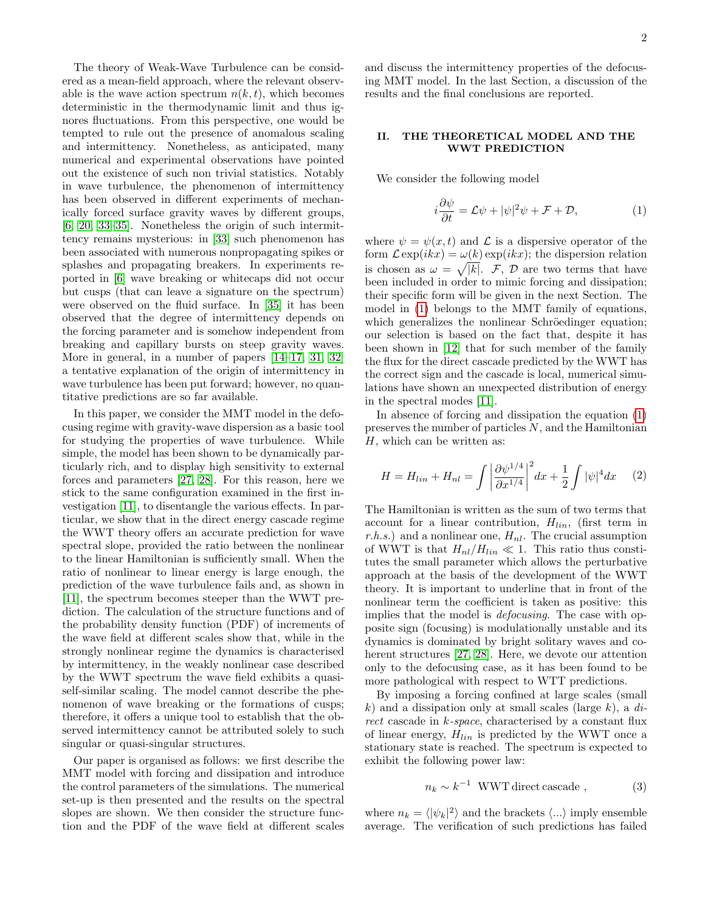The theory of Weak-Wave Turbulence can be considered as a mean-field approach, where the relevant observable is the wave action spectrum  $n(k, t)$ , which becomes deterministic in the thermodynamic limit and thus ignores fluctuations. From this perspective, one would be tempted to rule out the presence of anomalous scaling and intermittency. Nonetheless, as anticipated, many numerical and experimental observations have pointed out the existence of such non trivial statistics. Notably in wave turbulence, the phenomenon of intermittency has been observed in different experiments of mechanically forced surface gravity waves by different groups, [\[6,](#page-5-3) [20,](#page-6-11) [33](#page-6-12)[–35\]](#page-6-13). Nonetheless the origin of such intermittency remains mysterious: in [\[33\]](#page-6-12) such phenomenon has been associated with numerous nonpropagating spikes or splashes and propagating breakers. In experiments reported in [\[6\]](#page-5-3) wave breaking or whitecaps did not occur but cusps (that can leave a signature on the spectrum) were observed on the fluid surface. In [\[35\]](#page-6-13) it has been observed that the degree of intermittency depends on the forcing parameter and is somehow independent from breaking and capillary bursts on steep gravity waves. More in general, in a number of papers  $[14–17, 31, 32]$  $[14–17, 31, 32]$  $[14–17, 31, 32]$  $[14–17, 31, 32]$ a tentative explanation of the origin of intermittency in wave turbulence has been put forward; however, no quantitative predictions are so far available.

In this paper, we consider the MMT model in the defocusing regime with gravity-wave dispersion as a basic tool for studying the properties of wave turbulence. While simple, the model has been shown to be dynamically particularly rich, and to display high sensitivity to external forces and parameters [\[27,](#page-6-7) [28\]](#page-6-8). For this reason, here we stick to the same configuration examined in the first investigation [\[11\]](#page-6-4), to disentangle the various effects. In particular, we show that in the direct energy cascade regime the WWT theory offers an accurate prediction for wave spectral slope, provided the ratio between the nonlinear to the linear Hamiltonian is sufficiently small. When the ratio of nonlinear to linear energy is large enough, the prediction of the wave turbulence fails and, as shown in [\[11\]](#page-6-4), the spectrum becomes steeper than the WWT prediction. The calculation of the structure functions and of the probability density function (PDF) of increments of the wave field at different scales show that, while in the strongly nonlinear regime the dynamics is characterised by intermittency, in the weakly nonlinear case described by the WWT spectrum the wave field exhibits a quasiself-similar scaling. The model cannot describe the phenomenon of wave breaking or the formations of cusps; therefore, it offers a unique tool to establish that the observed intermittency cannot be attributed solely to such singular or quasi-singular structures.

Our paper is organised as follows: we first describe the MMT model with forcing and dissipation and introduce the control parameters of the simulations. The numerical set-up is then presented and the results on the spectral slopes are shown. We then consider the structure function and the PDF of the wave field at different scales

and discuss the intermittency properties of the defocusing MMT model. In the last Section, a discussion of the results and the final conclusions are reported.

# II. THE THEORETICAL MODEL AND THE WWT PREDICTION

We consider the following model

<span id="page-1-0"></span>
$$
i\frac{\partial \psi}{\partial t} = \mathcal{L}\psi + |\psi|^2 \psi + \mathcal{F} + \mathcal{D},\tag{1}
$$

where  $\psi = \psi(x, t)$  and  $\mathcal L$  is a dispersive operator of the form  $\mathcal{L} \exp(ikx) = \omega(k) \exp(ikx)$ ; the dispersion relation is chosen as  $\omega = \sqrt{|k|}$ . F, D are two terms that have been included in order to mimic forcing and dissipation; their specific form will be given in the next Section. The model in [\(1\)](#page-1-0) belongs to the MMT family of equations, which generalizes the nonlinear Schröedinger equation; our selection is based on the fact that, despite it has been shown in [\[12\]](#page-6-5) that for such member of the family the flux for the direct cascade predicted by the WWT has the correct sign and the cascade is local, numerical simulations have shown an unexpected distribution of energy in the spectral modes [\[11\]](#page-6-4).

In absence of forcing and dissipation the equation [\(1\)](#page-1-0) preserves the number of particles N, and the Hamiltonian H, which can be written as:

$$
H = H_{lin} + H_{nl} = \int \left| \frac{\partial \psi^{1/4}}{\partial x^{1/4}} \right|^2 dx + \frac{1}{2} \int |\psi|^4 dx \qquad (2)
$$

The Hamiltonian is written as the sum of two terms that account for a linear contribution,  $H_{lin}$ , (first term in r.h.s.) and a nonlinear one,  $H_{nl}$ . The crucial assumption of WWT is that  $H_{nl}/H_{lin} \ll 1$ . This ratio thus constitutes the small parameter which allows the perturbative approach at the basis of the development of the WWT theory. It is important to underline that in front of the nonlinear term the coefficient is taken as positive: this implies that the model is defocusing. The case with opposite sign (focusing) is modulationally unstable and its dynamics is dominated by bright solitary waves and coherent structures [\[27,](#page-6-7) [28\]](#page-6-8). Here, we devote our attention only to the defocusing case, as it has been found to be more pathological with respect to WTT predictions.

By imposing a forcing confined at large scales (small k) and a dissipation only at small scales (large  $k$ ), a direct cascade in k-space, characterised by a constant flux of linear energy,  $H_{lin}$  is predicted by the WWT once a stationary state is reached. The spectrum is expected to exhibit the following power law:

$$
n_k \sim k^{-1} \quad \text{WWT direct cascade} \tag{3}
$$

where  $n_k = \langle |\psi_k|^2 \rangle$  and the brackets  $\langle ... \rangle$  imply ensemble average. The verification of such predictions has failed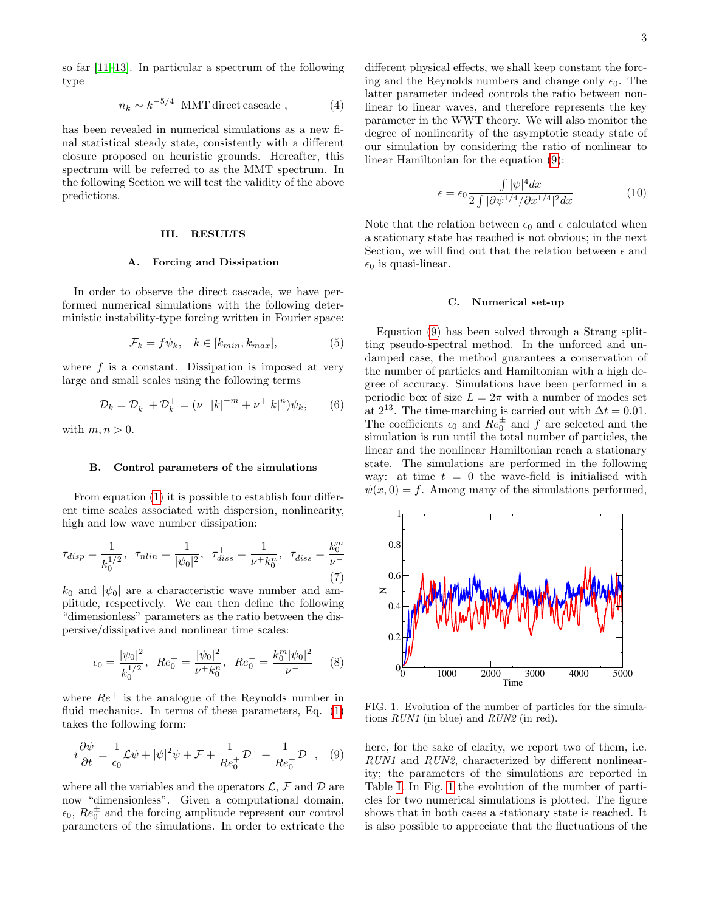so far [\[11–](#page-6-4)[13\]](#page-6-6). In particular a spectrum of the following type

$$
n_k \sim k^{-5/4} \text{ MMT direct cascade }, \tag{4}
$$

has been revealed in numerical simulations as a new final statistical steady state, consistently with a different closure proposed on heuristic grounds. Hereafter, this spectrum will be referred to as the MMT spectrum. In the following Section we will test the validity of the above predictions.

### III. RESULTS

# A. Forcing and Dissipation

In order to observe the direct cascade, we have performed numerical simulations with the following deterministic instability-type forcing written in Fourier space:

$$
\mathcal{F}_k = f\psi_k, \quad k \in [k_{min}, k_{max}], \tag{5}
$$

where  $f$  is a constant. Dissipation is imposed at very large and small scales using the following terms

$$
\mathcal{D}_k = \mathcal{D}_k^- + \mathcal{D}_k^+ = (\nu^- |k|^{-m} + \nu^+ |k|^n) \psi_k, \qquad (6)
$$

with  $m, n > 0$ .

# B. Control parameters of the simulations

From equation [\(1\)](#page-1-0) it is possible to establish four different time scales associated with dispersion, nonlinearity, high and low wave number dissipation:

$$
\tau_{disp} = \frac{1}{k_0^{1/2}}, \quad \tau_{nlin} = \frac{1}{|\psi_0|^2}, \quad \tau_{diss}^+ = \frac{1}{\nu + k_0^n}, \quad \tau_{diss}^- = \frac{k_0^m}{\nu - (7)}
$$

 $k_0$  and  $|\psi_0|$  are a characteristic wave number and amplitude, respectively. We can then define the following "dimensionless" parameters as the ratio between the dispersive/dissipative and nonlinear time scales:

$$
\epsilon_0 = \frac{|\psi_0|^2}{k_0^{1/2}}, \ Re_0^+ = \frac{|\psi_0|^2}{\nu^+ k_0^n}, \ Re_0^- = \frac{k_0^m |\psi_0|^2}{\nu^-}
$$
 (8)

where  $Re^+$  is the analogue of the Reynolds number in fluid mechanics. In terms of these parameters, Eq.  $(1)$ takes the following form:

<span id="page-2-0"></span>
$$
i\frac{\partial\psi}{\partial t} = \frac{1}{\epsilon_0}\mathcal{L}\psi + |\psi|^2\psi + \mathcal{F} + \frac{1}{Re_0^+}\mathcal{D}^+ + \frac{1}{Re_0^-}\mathcal{D}^-, \quad (9)
$$

where all the variables and the operators  $\mathcal{L}, \mathcal{F}$  and  $\mathcal{D}$  are now "dimensionless". Given a computational domain,  $\epsilon_0$ ,  $Re_0^{\pm}$  and the forcing amplitude represent our control parameters of the simulations. In order to extricate the different physical effects, we shall keep constant the forcing and the Reynolds numbers and change only  $\epsilon_0$ . The latter parameter indeed controls the ratio between nonlinear to linear waves, and therefore represents the key parameter in the WWT theory. We will also monitor the degree of nonlinearity of the asymptotic steady state of our simulation by considering the ratio of nonlinear to linear Hamiltonian for the equation [\(9\)](#page-2-0):

$$
\epsilon = \epsilon_0 \frac{\int |\psi|^4 dx}{2 \int |\partial \psi^{1/4}/\partial x^{1/4}|^2 dx} \tag{10}
$$

Note that the relation between  $\epsilon_0$  and  $\epsilon$  calculated when a stationary state has reached is not obvious; in the next Section, we will find out that the relation between  $\epsilon$  and  $\epsilon_0$  is quasi-linear.

### C. Numerical set-up

Equation [\(9\)](#page-2-0) has been solved through a Strang splitting pseudo-spectral method. In the unforced and undamped case, the method guarantees a conservation of the number of particles and Hamiltonian with a high degree of accuracy. Simulations have been performed in a periodic box of size  $L = 2\pi$  with a number of modes set at  $2^{13}$ . The time-marching is carried out with  $\Delta t = 0.01$ . The coefficients  $\epsilon_0$  and  $\tilde{Re}_0^{\pm}$  and f are selected and the simulation is run until the total number of particles, the linear and the nonlinear Hamiltonian reach a stationary state. The simulations are performed in the following way: at time  $t = 0$  the wave-field is initialised with  $\psi(x, 0) = f$ . Among many of the simulations performed,



<span id="page-2-1"></span>FIG. 1. Evolution of the number of particles for the simulations RUN1 (in blue) and RUN2 (in red).

here, for the sake of clarity, we report two of them, i.e. RUN1 and RUN2, characterized by different nonlinearity; the parameters of the simulations are reported in Table [I.](#page-3-0) In Fig. [1](#page-2-1) the evolution of the number of particles for two numerical simulations is plotted. The figure shows that in both cases a stationary state is reached. It is also possible to appreciate that the fluctuations of the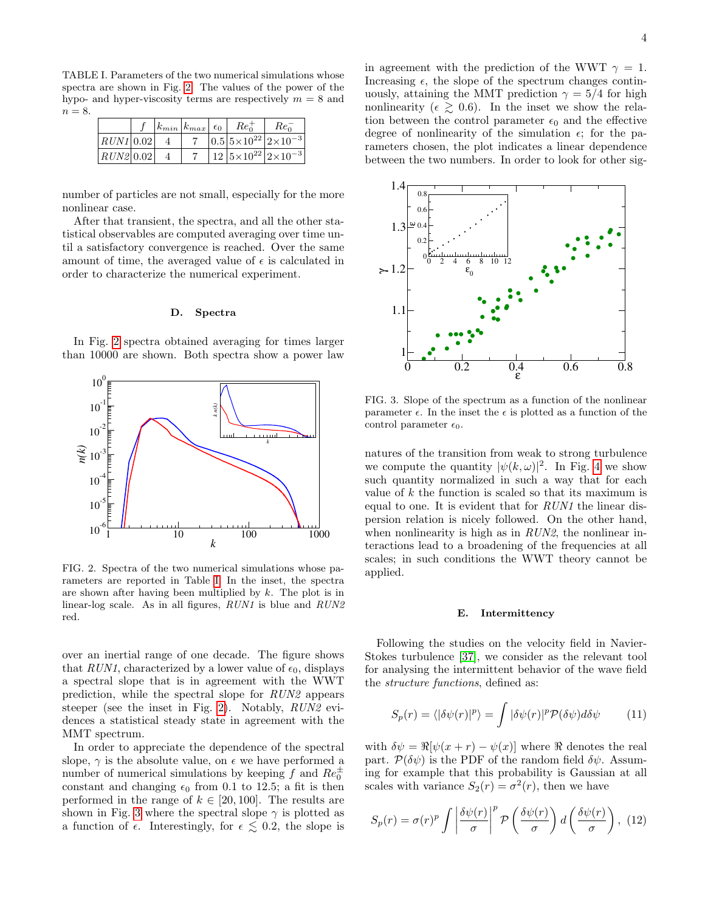<span id="page-3-0"></span>TABLE I. Parameters of the two numerical simulations whose spectra are shown in Fig. [2.](#page-3-1) The values of the power of the hypo- and hyper-viscosity terms are respectively  $m = 8$  and  $n = 8$ .

|             |  | $\left  k_{min} \right  k_{max} \left  \epsilon_0 \right $ | $Re_0^+$ | $Re_0$                                |
|-------------|--|------------------------------------------------------------|----------|---------------------------------------|
| $RUNI$ 0.02 |  |                                                            |          | $ 0.5 5\times10^{22} 2\times10^{-3} $ |
| RUN2 0.02   |  |                                                            |          | $12 5\times10^{22} 2\times10^{-3} $   |

number of particles are not small, especially for the more nonlinear case.

After that transient, the spectra, and all the other statistical observables are computed averaging over time until a satisfactory convergence is reached. Over the same amount of time, the averaged value of  $\epsilon$  is calculated in order to characterize the numerical experiment.

### D. Spectra

In Fig. [2](#page-3-1) spectra obtained averaging for times larger than 10000 are shown. Both spectra show a power law



<span id="page-3-1"></span>FIG. 2. Spectra of the two numerical simulations whose parameters are reported in Table [I.](#page-3-0) In the inset, the spectra are shown after having been multiplied by k. The plot is in linear-log scale. As in all figures, RUN1 is blue and RUN2 red.

over an inertial range of one decade. The figure shows that RUN1, characterized by a lower value of  $\epsilon_0$ , displays a spectral slope that is in agreement with the WWT prediction, while the spectral slope for RUN2 appears steeper (see the inset in Fig. [2\)](#page-3-1). Notably, RUN2 evidences a statistical steady state in agreement with the MMT spectrum.

In order to appreciate the dependence of the spectral slope,  $\gamma$  is the absolute value, on  $\epsilon$  we have performed a number of numerical simulations by keeping  $f$  and  $Re_0^{\pm}$ constant and changing  $\epsilon_0$  from 0.1 to 12.5; a fit is then performed in the range of  $k \in [20, 100]$ . The results are shown in Fig. [3](#page-3-2) where the spectral slope  $\gamma$  is plotted as a function of  $\epsilon$ . Interestingly, for  $\epsilon \lesssim 0.2$ , the slope is

in agreement with the prediction of the WWT  $\gamma = 1$ . Increasing  $\epsilon$ , the slope of the spectrum changes continuously, attaining the MMT prediction  $\gamma = 5/4$  for high nonlinearity ( $\epsilon \geq 0.6$ ). In the inset we show the relation between the control parameter  $\epsilon_0$  and the effective degree of nonlinearity of the simulation  $\epsilon$ ; for the parameters chosen, the plot indicates a linear dependence between the two numbers. In order to look for other sig-



<span id="page-3-2"></span>FIG. 3. Slope of the spectrum as a function of the nonlinear parameter  $\epsilon$ . In the inset the  $\epsilon$  is plotted as a function of the control parameter  $\epsilon_0$ .

natures of the transition from weak to strong turbulence we compute the quantity  $|\psi(k,\omega)|^2$ . In Fig. [4](#page-4-0) we show such quantity normalized in such a way that for each value of  $k$  the function is scaled so that its maximum is equal to one. It is evident that for RUN1 the linear dispersion relation is nicely followed. On the other hand, when nonlinearity is high as in RUN2, the nonlinear interactions lead to a broadening of the frequencies at all scales; in such conditions the WWT theory cannot be applied.

### E. Intermittency

Following the studies on the velocity field in Navier-Stokes turbulence [\[37\]](#page-6-18), we consider as the relevant tool for analysing the intermittent behavior of the wave field the *structure functions*, defined as:

$$
S_p(r) = \langle |\delta\psi(r)|^p \rangle = \int |\delta\psi(r)|^p \mathcal{P}(\delta\psi) d\delta\psi \qquad (11)
$$

with  $\delta \psi = \Re[\psi(x + r) - \psi(x)]$  where  $\Re$  denotes the real part.  $\mathcal{P}(\delta \psi)$  is the PDF of the random field  $\delta \psi$ . Assuming for example that this probability is Gaussian at all scales with variance  $S_2(r) = \sigma^2(r)$ , then we have

<span id="page-3-3"></span>
$$
S_p(r) = \sigma(r)^p \int \left| \frac{\delta \psi(r)}{\sigma} \right|^p \mathcal{P}\left(\frac{\delta \psi(r)}{\sigma}\right) d\left(\frac{\delta \psi(r)}{\sigma}\right), (12)
$$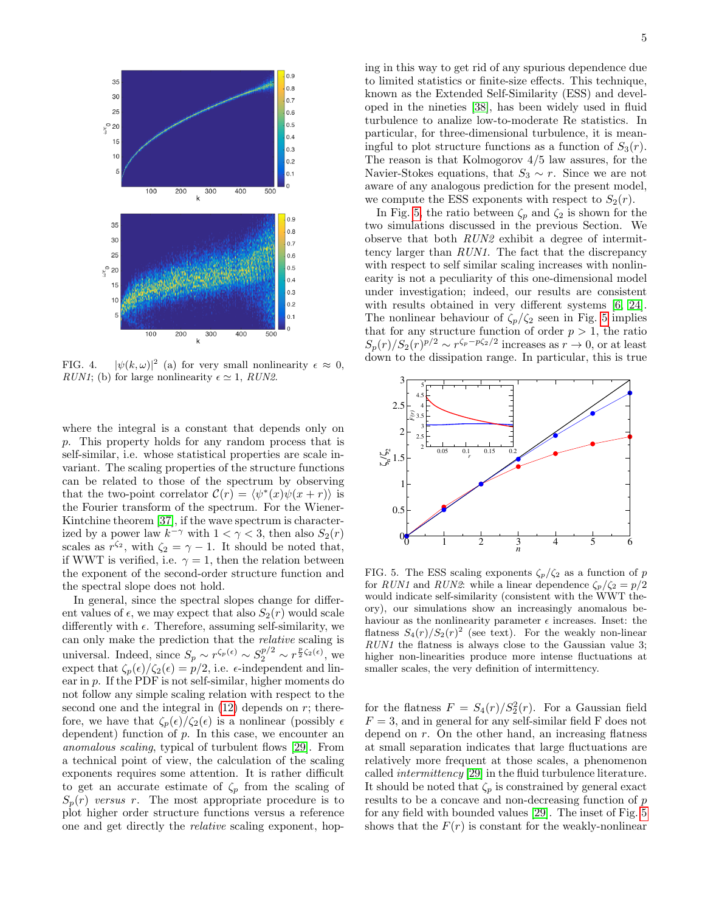

<span id="page-4-0"></span>FIG. 4.  $|\psi(k,\omega)|^2$  (a) for very small nonlinearity  $\epsilon \approx 0$ , RUN1; (b) for large nonlinearity  $\epsilon \simeq 1$ , RUN2.

where the integral is a constant that depends only on p. This property holds for any random process that is self-similar, i.e. whose statistical properties are scale invariant. The scaling properties of the structure functions can be related to those of the spectrum by observing that the two-point correlator  $\mathcal{C}(r) = \langle \psi^*(x) \psi(x + r) \rangle$  is the Fourier transform of the spectrum. For the Wiener-Kintchine theorem [\[37\]](#page-6-18), if the wave spectrum is characterized by a power law  $k^{-\gamma}$  with  $1 < \gamma < 3$ , then also  $S_2(r)$ scales as  $r^{\zeta_2}$ , with  $\zeta_2 = \gamma - 1$ . It should be noted that, if WWT is verified, i.e.  $\gamma = 1$ , then the relation between the exponent of the second-order structure function and the spectral slope does not hold.

In general, since the spectral slopes change for different values of  $\epsilon$ , we may expect that also  $S_2(r)$  would scale differently with  $\epsilon$ . Therefore, assuming self-similarity, we can only make the prediction that the relative scaling is universal. Indeed, since  $S_p \sim r^{\zeta_p(\epsilon)} \sim S_2^{p/2} \sim r^{\frac{p}{2}\zeta_2(\epsilon)}$ , we expect that  $\zeta_p(\epsilon)/\zeta_2(\epsilon) = p/2$ , i.e.  $\epsilon$ -independent and linear in p. If the PDF is not self-similar, higher moments do not follow any simple scaling relation with respect to the second one and the integral in  $(12)$  depends on r; therefore, we have that  $\zeta_p(\epsilon)/\zeta_2(\epsilon)$  is a nonlinear (possibly  $\epsilon$ dependent) function of  $p$ . In this case, we encounter an anomalous scaling, typical of turbulent flows [\[29\]](#page-6-9). From a technical point of view, the calculation of the scaling exponents requires some attention. It is rather difficult to get an accurate estimate of  $\zeta_p$  from the scaling of  $S_p(r)$  versus r. The most appropriate procedure is to plot higher order structure functions versus a reference one and get directly the relative scaling exponent, hoping in this way to get rid of any spurious dependence due to limited statistics or finite-size effects. This technique, known as the Extended Self-Similarity (ESS) and developed in the nineties [\[38\]](#page-6-19), has been widely used in fluid turbulence to analize low-to-moderate Re statistics. In particular, for three-dimensional turbulence, it is meaningful to plot structure functions as a function of  $S_3(r)$ . The reason is that Kolmogorov 4/5 law assures, for the Navier-Stokes equations, that  $S_3 \sim r$ . Since we are not aware of any analogous prediction for the present model, we compute the ESS exponents with respect to  $S_2(r)$ .

In Fig. [5,](#page-4-1) the ratio between  $\zeta_p$  and  $\zeta_2$  is shown for the two simulations discussed in the previous Section. We observe that both RUN2 exhibit a degree of intermittency larger than RUN1. The fact that the discrepancy with respect to self similar scaling increases with nonlinearity is not a peculiarity of this one-dimensional model under investigation; indeed, our results are consistent with results obtained in very different systems [\[6,](#page-5-3) [24\]](#page-6-20). The nonlinear behaviour of  $\zeta_p/\zeta_2$  seen in Fig. [5](#page-4-1) implies that for any structure function of order  $p > 1$ , the ratio  $S_p(r)/S_2(r)^{p/2} \sim r^{\zeta_p - p\zeta_2/2}$  increases as  $r \to 0$ , or at least down to the dissipation range. In particular, this is true



<span id="page-4-1"></span>FIG. 5. The ESS scaling exponents  $\zeta_p/\zeta_2$  as a function of p for RUN1 and RUN2: while a linear dependence  $\zeta_p/\zeta_2 = p/2$ would indicate self-similarity (consistent with the WWT theory), our simulations show an increasingly anomalous behaviour as the nonlinearity parameter  $\epsilon$  increases. Inset: the flatness  $S_4(r)/S_2(r)^2$  (see text). For the weakly non-linear RUN1 the flatness is always close to the Gaussian value 3; higher non-linearities produce more intense fluctuations at smaller scales, the very definition of intermittency.

for the flatness  $F = S_4(r)/S_2^2(r)$ . For a Gaussian field  $F = 3$ , and in general for any self-similar field F does not depend on r. On the other hand, an increasing flatness at small separation indicates that large fluctuations are relatively more frequent at those scales, a phenomenon called intermittency [\[29\]](#page-6-9) in the fluid turbulence literature. It should be noted that  $\zeta_p$  is constrained by general exact results to be a concave and non-decreasing function of p for any field with bounded values [\[29\]](#page-6-9). The inset of Fig. [5](#page-4-1) shows that the  $F(r)$  is constant for the weakly-nonlinear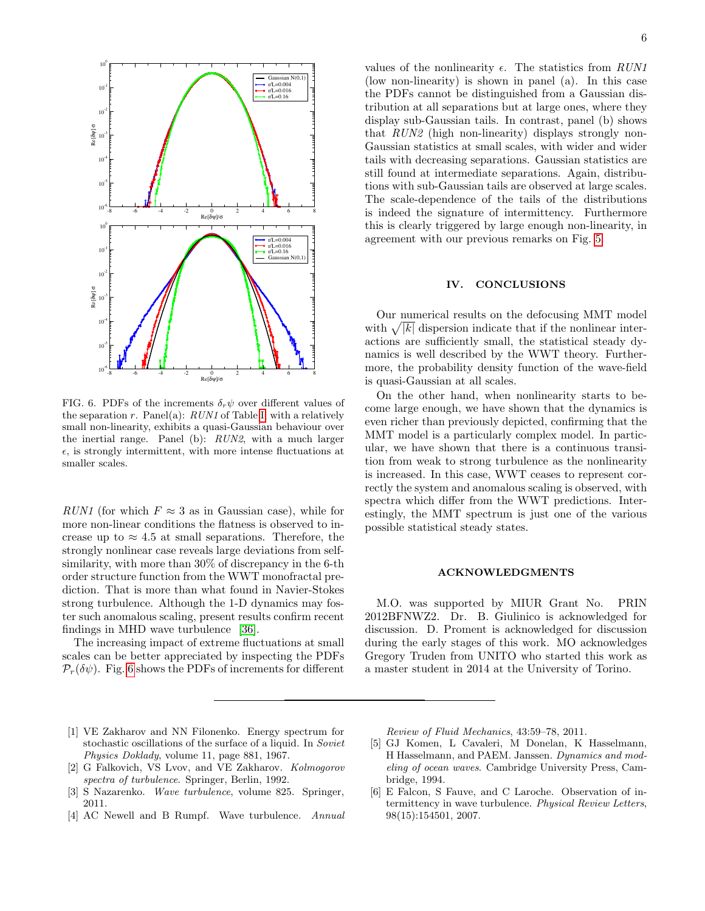

<span id="page-5-4"></span>FIG. 6. PDFs of the increments  $\delta_r \psi$  over different values of the separation r. Panel(a):  $RUM$  of Table [I,](#page-3-0) with a relatively small non-linearity, exhibits a quasi-Gaussian behaviour over the inertial range. Panel (b): RUN2, with a much larger  $\epsilon$ , is strongly intermittent, with more intense fluctuations at smaller scales.

RUN1 (for which  $F \approx 3$  as in Gaussian case), while for more non-linear conditions the flatness is observed to increase up to  $\approx 4.5$  at small separations. Therefore, the strongly nonlinear case reveals large deviations from selfsimilarity, with more than 30% of discrepancy in the 6-th order structure function from the WWT monofractal prediction. That is more than what found in Navier-Stokes strong turbulence. Although the 1-D dynamics may foster such anomalous scaling, present results confirm recent findings in MHD wave turbulence [\[36\]](#page-6-21).

The increasing impact of extreme fluctuations at small scales can be better appreciated by inspecting the PDFs  $\mathcal{P}_r(\delta\psi)$ . Fig. [6](#page-5-4) shows the PDFs of increments for different

values of the nonlinearity  $\epsilon$ . The statistics from  $RUNI$ (low non-linearity) is shown in panel (a). In this case the PDFs cannot be distinguished from a Gaussian distribution at all separations but at large ones, where they display sub-Gaussian tails. In contrast, panel (b) shows that RUN2 (high non-linearity) displays strongly non-Gaussian statistics at small scales, with wider and wider tails with decreasing separations. Gaussian statistics are still found at intermediate separations. Again, distributions with sub-Gaussian tails are observed at large scales. The scale-dependence of the tails of the distributions is indeed the signature of intermittency. Furthermore this is clearly triggered by large enough non-linearity, in agreement with our previous remarks on Fig. [5.](#page-4-1)

# IV. CONCLUSIONS

Our numerical results on the defocusing MMT model with  $\sqrt{|k|}$  dispersion indicate that if the nonlinear interactions are sufficiently small, the statistical steady dynamics is well described by the WWT theory. Furthermore, the probability density function of the wave-field is quasi-Gaussian at all scales.

On the other hand, when nonlinearity starts to become large enough, we have shown that the dynamics is even richer than previously depicted, confirming that the MMT model is a particularly complex model. In particular, we have shown that there is a continuous transition from weak to strong turbulence as the nonlinearity is increased. In this case, WWT ceases to represent correctly the system and anomalous scaling is observed, with spectra which differ from the WWT predictions. Interestingly, the MMT spectrum is just one of the various possible statistical steady states.

### ACKNOWLEDGMENTS

M.O. was supported by MIUR Grant No. PRIN 2012BFNWZ2. Dr. B. Giulinico is acknowledged for discussion. D. Proment is acknowledged for discussion during the early stages of this work. MO acknowledges Gregory Truden from UNITO who started this work as a master student in 2014 at the University of Torino.

- <span id="page-5-0"></span>[1] VE Zakharov and NN Filonenko. Energy spectrum for stochastic oscillations of the surface of a liquid. In Soviet Physics Doklady, volume 11, page 881, 1967.
- [2] G Falkovich, VS Lvov, and VE Zakharov. Kolmogorov spectra of turbulence. Springer, Berlin, 1992.
- [3] S Nazarenko. Wave turbulence, volume 825. Springer, 2011.
- <span id="page-5-1"></span>[4] AC Newell and B Rumpf. Wave turbulence. Annual

Review of Fluid Mechanics, 43:59–78, 2011.

- <span id="page-5-2"></span>[5] GJ Komen, L Cavaleri, M Donelan, K Hasselmann, H Hasselmann, and PAEM. Janssen. Dynamics and modeling of ocean waves. Cambridge University Press, Cambridge, 1994.
- <span id="page-5-3"></span>[6] E Falcon, S Fauve, and C Laroche. Observation of intermittency in wave turbulence. Physical Review Letters, 98(15):154501, 2007.